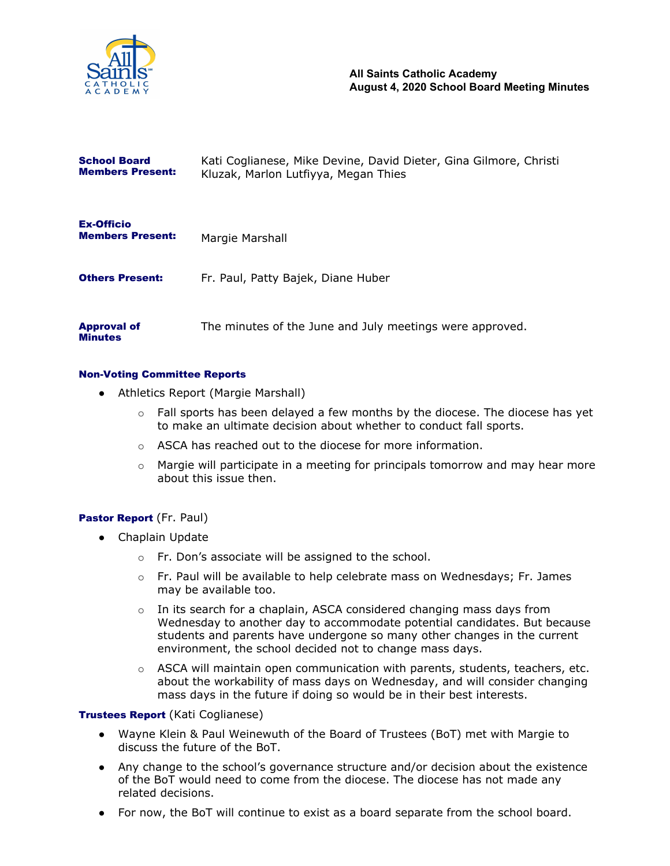

| <b>School Board</b><br><b>Members Present:</b> | Kati Coglianese, Mike Devine, David Dieter, Gina Gilmore, Christi<br>Kluzak, Marlon Lutfiyya, Megan Thies |
|------------------------------------------------|-----------------------------------------------------------------------------------------------------------|
| <b>Ex-Officio</b><br><b>Members Present:</b>   | Margie Marshall                                                                                           |
| <b>Others Present:</b>                         | Fr. Paul, Patty Bajek, Diane Huber                                                                        |
| <b>Approval of</b><br><b>Minutes</b>           | The minutes of the June and July meetings were approved.                                                  |

## Non-Voting Committee Reports

- Athletics Report (Margie Marshall)
	- $\circ$  Fall sports has been delayed a few months by the diocese. The diocese has yet to make an ultimate decision about whether to conduct fall sports.
	- o ASCA has reached out to the diocese for more information.
	- $\circ$  Margie will participate in a meeting for principals tomorrow and may hear more about this issue then.

# Pastor Report (Fr. Paul)

- Chaplain Update
	- o Fr. Don's associate will be assigned to the school.
	- o Fr. Paul will be available to help celebrate mass on Wednesdays; Fr. James may be available too.
	- $\circ$  In its search for a chaplain, ASCA considered changing mass days from Wednesday to another day to accommodate potential candidates. But because students and parents have undergone so many other changes in the current environment, the school decided not to change mass days.
	- $\circ$  ASCA will maintain open communication with parents, students, teachers, etc. about the workability of mass days on Wednesday, and will consider changing mass days in the future if doing so would be in their best interests.

### Trustees Report (Kati Coglianese)

- Wayne Klein & Paul Weinewuth of the Board of Trustees (BoT) met with Margie to discuss the future of the BoT.
- Any change to the school's governance structure and/or decision about the existence of the BoT would need to come from the diocese. The diocese has not made any related decisions.
- For now, the BoT will continue to exist as a board separate from the school board.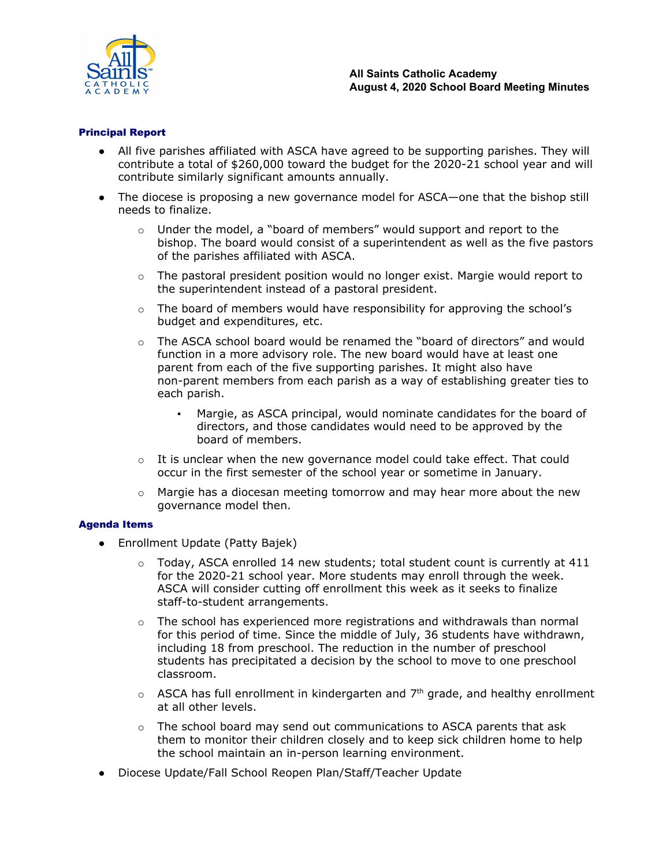

## Principal Report

- All five parishes affiliated with ASCA have agreed to be supporting parishes. They will contribute a total of \$260,000 toward the budget for the 2020-21 school year and will contribute similarly significant amounts annually.
- The diocese is proposing a new governance model for ASCA—one that the bishop still needs to finalize.
	- $\circ$  Under the model, a "board of members" would support and report to the bishop. The board would consist of a superintendent as well as the five pastors of the parishes affiliated with ASCA.
	- $\circ$  The pastoral president position would no longer exist. Margie would report to the superintendent instead of a pastoral president.
	- $\circ$  The board of members would have responsibility for approving the school's budget and expenditures, etc.
	- $\circ$  The ASCA school board would be renamed the "board of directors" and would function in a more advisory role. The new board would have at least one parent from each of the five supporting parishes. It might also have non-parent members from each parish as a way of establishing greater ties to each parish.
		- Margie, as ASCA principal, would nominate candidates for the board of directors, and those candidates would need to be approved by the board of members.
	- $\circ$  It is unclear when the new governance model could take effect. That could occur in the first semester of the school year or sometime in January.
	- $\circ$  Margie has a diocesan meeting tomorrow and may hear more about the new governance model then.

### Agenda Items

- Enrollment Update (Patty Bajek)
	- $\circ$  Today, ASCA enrolled 14 new students; total student count is currently at 411 for the 2020-21 school year. More students may enroll through the week. ASCA will consider cutting off enrollment this week as it seeks to finalize staff-to-student arrangements.
	- $\circ$  The school has experienced more registrations and withdrawals than normal for this period of time. Since the middle of July, 36 students have withdrawn, including 18 from preschool. The reduction in the number of preschool students has precipitated a decision by the school to move to one preschool classroom.
	- $\circ$  ASCA has full enrollment in kindergarten and  $7<sup>th</sup>$  grade, and healthy enrollment at all other levels.
	- $\circ$  The school board may send out communications to ASCA parents that ask them to monitor their children closely and to keep sick children home to help the school maintain an in-person learning environment.
- Diocese Update/Fall School Reopen Plan/Staff/Teacher Update